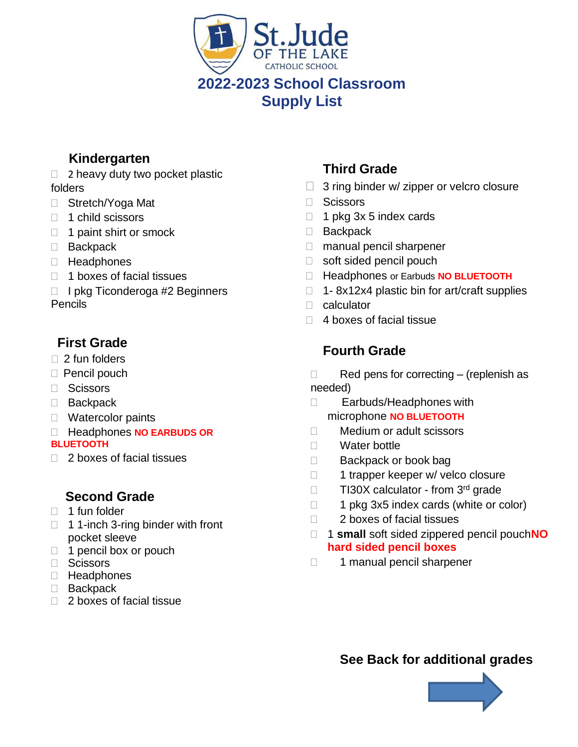

**Supply List**

## **Kindergarten**

- $\Box$  2 heavy duty two pocket plastic folders
- □ Stretch/Yoga Mat
- $\Box$  1 child scissors
- $\Box$  1 paint shirt or smock
- □ Backpack
- Headphones
- $\Box$  1 boxes of facial tissues
- $\Box$  I pkg Ticonderoga #2 Beginners Pencils

#### **First Grade**

- $\Box$  2 fun folders
- □ Pencil pouch
- □ Scissors
- Backpack
- Watercolor paints
- Headphones **NO EARBUDS OR BLUETOOTH**
- $\Box$  2 boxes of facial tissues

#### **Second Grade**

- $\Box$  1 fun folder
- $\Box$  1 1-inch 3-ring binder with front pocket sleeve
- $\Box$  1 pencil box or pouch
- □ Scissors
- □ Headphones
- □ Backpack
- $\Box$  2 boxes of facial tissue

### **Third Grade**

- $\Box$  3 ring binder w/ zipper or velcro closure
- □ Scissors
- $\Box$  1 pkg 3x 5 index cards
- □ Backpack
- □ manual pencil sharpener
- □ soft sided pencil pouch
- Headphones or Earbuds **NO BLUETOOTH**
- $\Box$  1- 8x12x4 plastic bin for art/craft supplies
- □ calculator
- $\Box$  4 boxes of facial tissue

## **Fourth Grade**

 $\Box$  Red pens for correcting – (replenish as needed)

- □ Earbuds/Headphones with microphone **NO BLUETOOTH**
- □ Medium or adult scissors
- □ Water bottle
- □ Backpack or book bag
- 1 trapper keeper w/ velco closure
- □ TI30X calculator from 3<sup>rd</sup> grade
- $\Box$  1 pkg 3x5 index cards (white or color)
- □ 2 boxes of facial tissues
- 1 **small** soft sided zippered pencil pouch**NO hard sided pencil boxes**
- 1 manual pencil sharpener

**See Back for additional grades**